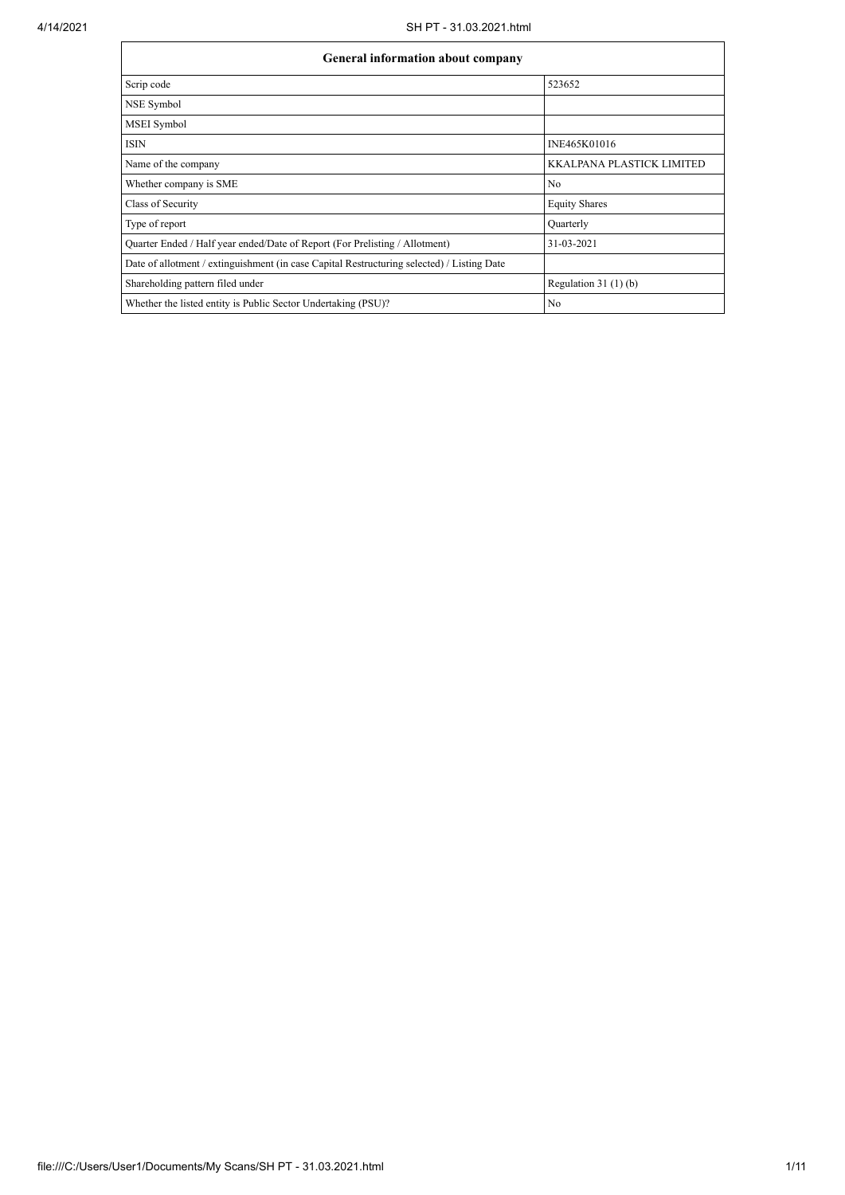| <b>General information about company</b>                                                   |                                  |  |  |  |  |  |
|--------------------------------------------------------------------------------------------|----------------------------------|--|--|--|--|--|
| Scrip code                                                                                 | 523652                           |  |  |  |  |  |
| NSE Symbol                                                                                 |                                  |  |  |  |  |  |
| <b>MSEI</b> Symbol                                                                         |                                  |  |  |  |  |  |
| <b>ISIN</b>                                                                                | INE465K01016                     |  |  |  |  |  |
| Name of the company                                                                        | <b>KKALPANA PLASTICK LIMITED</b> |  |  |  |  |  |
| Whether company is SME                                                                     | N <sub>0</sub>                   |  |  |  |  |  |
| Class of Security                                                                          | <b>Equity Shares</b>             |  |  |  |  |  |
| Type of report                                                                             | Quarterly                        |  |  |  |  |  |
| Quarter Ended / Half year ended/Date of Report (For Prelisting / Allotment)                | 31-03-2021                       |  |  |  |  |  |
| Date of allotment / extinguishment (in case Capital Restructuring selected) / Listing Date |                                  |  |  |  |  |  |
| Shareholding pattern filed under                                                           | Regulation $31(1)(b)$            |  |  |  |  |  |
| Whether the listed entity is Public Sector Undertaking (PSU)?                              | No                               |  |  |  |  |  |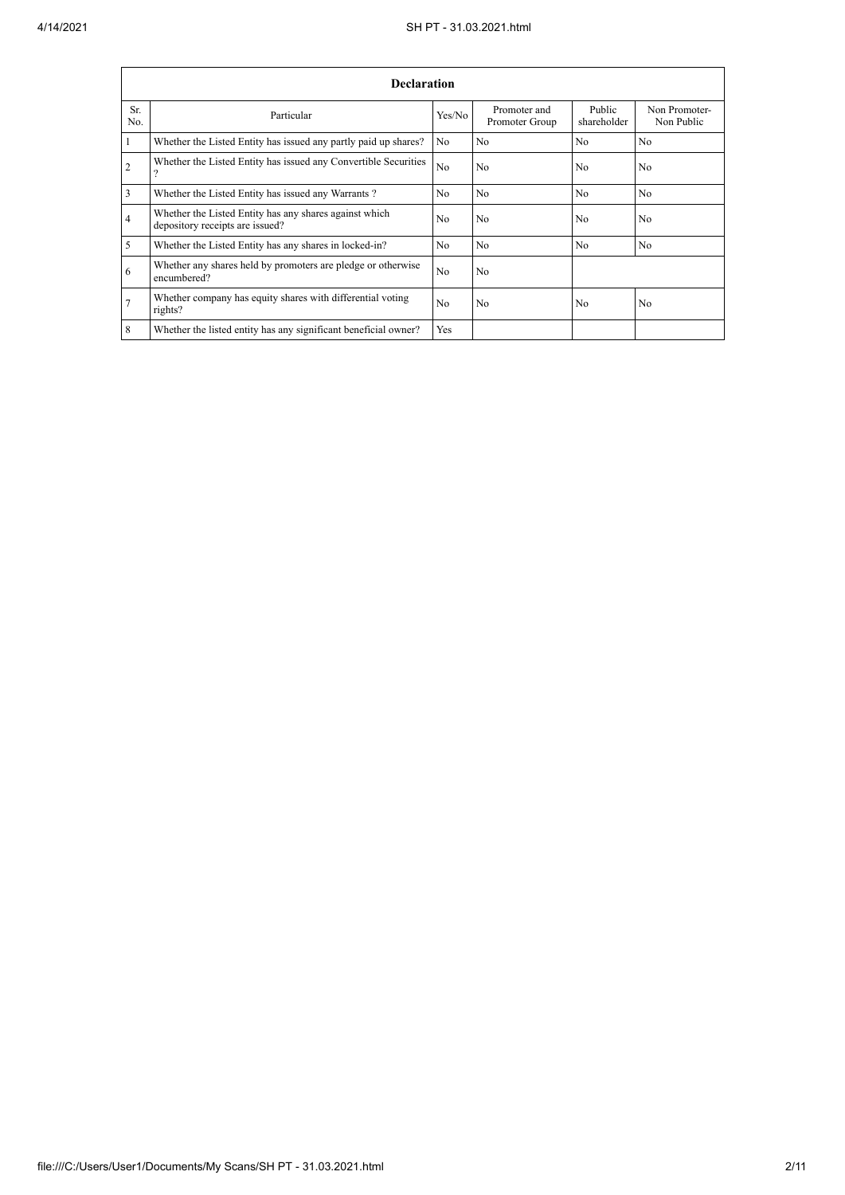|                | <b>Declaration</b>                                                                        |                |                                |                       |                             |  |  |  |
|----------------|-------------------------------------------------------------------------------------------|----------------|--------------------------------|-----------------------|-----------------------------|--|--|--|
| Sr.<br>No.     | Particular                                                                                | Yes/No         | Promoter and<br>Promoter Group | Public<br>shareholder | Non Promoter-<br>Non Public |  |  |  |
|                | Whether the Listed Entity has issued any partly paid up shares?                           | N <sub>o</sub> | N <sub>o</sub>                 | N <sub>o</sub>        | N <sub>o</sub>              |  |  |  |
| $\overline{c}$ | Whether the Listed Entity has issued any Convertible Securities                           | N <sub>o</sub> | No                             | N <sub>0</sub>        | No                          |  |  |  |
| 3              | Whether the Listed Entity has issued any Warrants?                                        | N <sub>0</sub> | N <sub>0</sub>                 | N <sub>o</sub>        | N <sub>0</sub>              |  |  |  |
| 4              | Whether the Listed Entity has any shares against which<br>depository receipts are issued? | N <sub>0</sub> | N <sub>o</sub>                 | N <sub>0</sub>        | N <sub>0</sub>              |  |  |  |
| 5              | Whether the Listed Entity has any shares in locked-in?                                    | N <sub>o</sub> | N <sub>o</sub>                 | N <sub>o</sub>        | N <sub>0</sub>              |  |  |  |
| 6              | Whether any shares held by promoters are pledge or otherwise<br>encumbered?               | N <sub>0</sub> | N <sub>o</sub>                 |                       |                             |  |  |  |
| 7              | Whether company has equity shares with differential voting<br>rights?                     | N <sub>o</sub> | N <sub>o</sub>                 | No                    | N <sub>o</sub>              |  |  |  |
| 8              | Whether the listed entity has any significant beneficial owner?                           | Yes            |                                |                       |                             |  |  |  |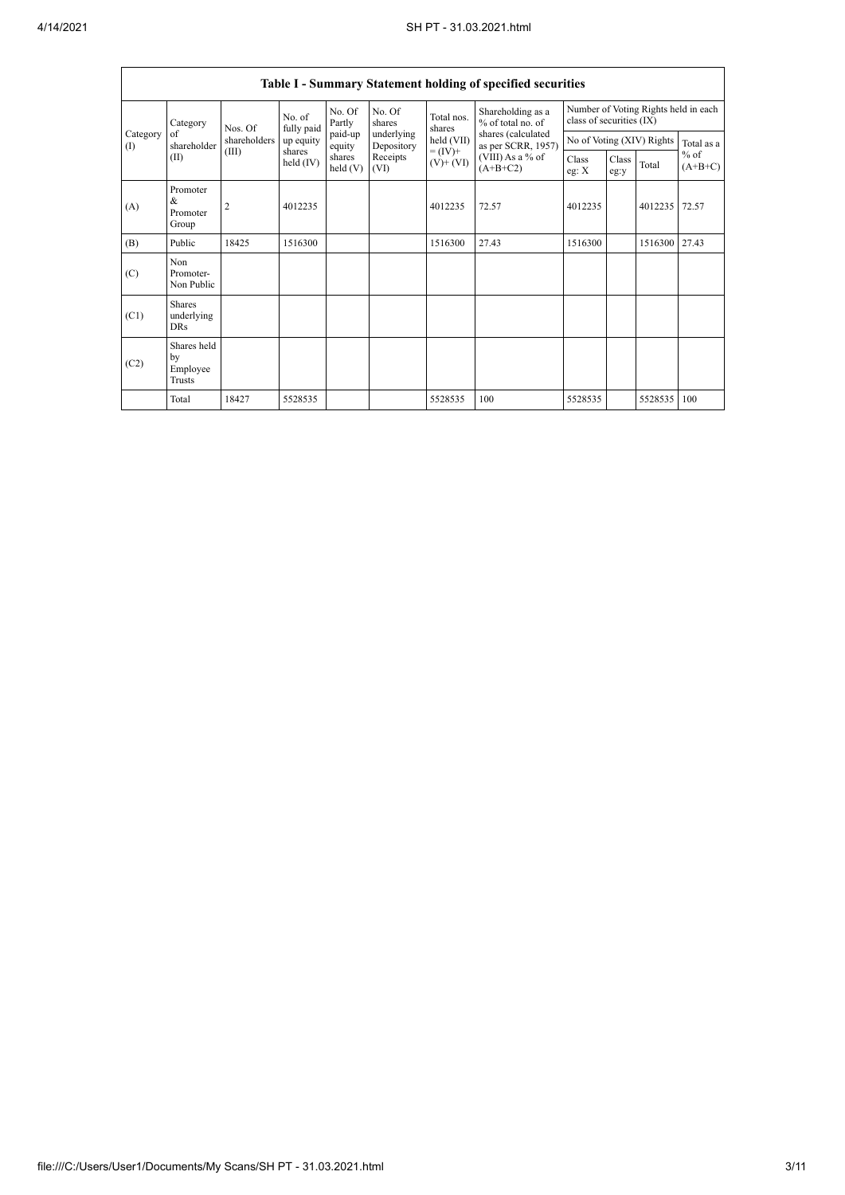|          | Table I - Summary Statement holding of specified securities                                                                                                                                                                                                                                                              |         |                      |                           |                  |                      |                                        |                                                                  |  |         |       |
|----------|--------------------------------------------------------------------------------------------------------------------------------------------------------------------------------------------------------------------------------------------------------------------------------------------------------------------------|---------|----------------------|---------------------------|------------------|----------------------|----------------------------------------|------------------------------------------------------------------|--|---------|-------|
|          | Category                                                                                                                                                                                                                                                                                                                 | Nos. Of | No. of<br>fully paid | No. Of<br>Partly          | No. Of<br>shares | Total nos.<br>shares | Shareholding as a<br>% of total no. of | Number of Voting Rights held in each<br>class of securities (IX) |  |         |       |
| Category | paid-up<br>underlying<br>shares (calculated<br>of<br>shareholders<br>held (VII)<br>up equity<br>as per SCRR, 1957)<br>shareholder<br>$($ I<br>Depository<br>equity<br>(III)<br>shares<br>$= (IV) +$<br>(VIII) As a % of<br>shares<br>Receipts<br>(II)<br>held $(IV)$<br>$(V)$ + $(VI)$<br>$(A+B+C2)$<br>held (V)<br>(VI) |         |                      | No of Voting (XIV) Rights | Total as a       |                      |                                        |                                                                  |  |         |       |
|          |                                                                                                                                                                                                                                                                                                                          |         |                      |                           | Class<br>eg: X   | Class<br>eg:y        | Total                                  | $%$ of<br>$(A+B+C)$                                              |  |         |       |
| (A)      | Promoter<br>&<br>Promoter<br>Group                                                                                                                                                                                                                                                                                       | 2       | 4012235              |                           |                  | 4012235              | 72.57                                  | 4012235                                                          |  | 4012235 | 72.57 |
| (B)      | Public                                                                                                                                                                                                                                                                                                                   | 18425   | 1516300              |                           |                  | 1516300              | 27.43                                  | 1516300                                                          |  | 1516300 | 27.43 |
| (C)      | Non<br>Promoter-<br>Non Public                                                                                                                                                                                                                                                                                           |         |                      |                           |                  |                      |                                        |                                                                  |  |         |       |
| (C1)     | <b>Shares</b><br>underlying<br><b>DRs</b>                                                                                                                                                                                                                                                                                |         |                      |                           |                  |                      |                                        |                                                                  |  |         |       |
| (C2)     | Shares held<br>by<br>Employee<br>Trusts                                                                                                                                                                                                                                                                                  |         |                      |                           |                  |                      |                                        |                                                                  |  |         |       |
|          | Total                                                                                                                                                                                                                                                                                                                    | 18427   | 5528535              |                           |                  | 5528535              | 100                                    | 5528535                                                          |  | 5528535 | 100   |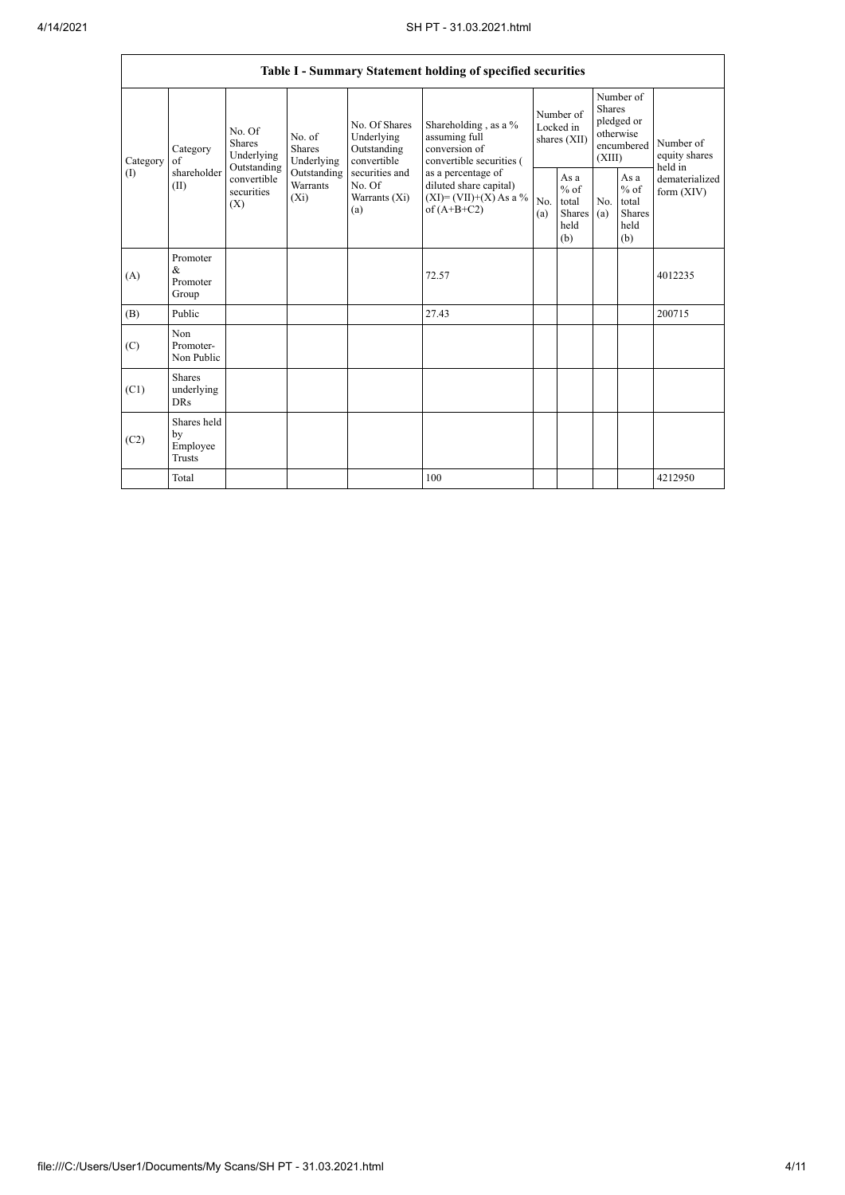|                        |                                                                                                                                                                                                                                                                                                                                                                                                                                                                                                                 |            |                                                        | Table I - Summary Statement holding of specified securities |                                                         |                                                                               |  |                                       |         |
|------------------------|-----------------------------------------------------------------------------------------------------------------------------------------------------------------------------------------------------------------------------------------------------------------------------------------------------------------------------------------------------------------------------------------------------------------------------------------------------------------------------------------------------------------|------------|--------------------------------------------------------|-------------------------------------------------------------|---------------------------------------------------------|-------------------------------------------------------------------------------|--|---------------------------------------|---------|
| $\sigma$ f<br>Category | No. Of Shares<br>Shareholding, as a %<br>No. Of<br>Underlying<br>assuming full<br>No. of<br><b>Shares</b><br>conversion of<br><b>Shares</b><br>Outstanding<br>Category<br>Underlying<br>Underlying<br>convertible<br>convertible securities (<br>Outstanding<br>shareholder<br>securities and<br>Outstanding<br>as a percentage of<br>convertible<br>(II)<br>Warrants<br>No. Of<br>diluted share capital)<br>securities<br>$(XI) = (VII)+(X) As a %$<br>$(X_i)$<br>Warrants (Xi)<br>(X)<br>of $(A+B+C2)$<br>(a) |            |                                                        | Number of<br>Locked in<br>shares (XII)                      |                                                         | Number of<br><b>Shares</b><br>pledged or<br>otherwise<br>encumbered<br>(XIII) |  | Number of<br>equity shares<br>held in |         |
| (1)                    |                                                                                                                                                                                                                                                                                                                                                                                                                                                                                                                 | No.<br>(a) | As a<br>$%$ of<br>total<br>Shares $(a)$<br>held<br>(b) | No.                                                         | As a<br>$%$ of<br>total<br><b>Shares</b><br>held<br>(b) | dematerialized<br>form $(XIV)$                                                |  |                                       |         |
| (A)                    | Promoter<br>&<br>Promoter<br>Group                                                                                                                                                                                                                                                                                                                                                                                                                                                                              |            |                                                        | 72.57                                                       |                                                         |                                                                               |  |                                       | 4012235 |
| (B)                    | Public                                                                                                                                                                                                                                                                                                                                                                                                                                                                                                          |            |                                                        | 27.43                                                       |                                                         |                                                                               |  |                                       | 200715  |
| (C)                    | Non<br>Promoter-<br>Non Public                                                                                                                                                                                                                                                                                                                                                                                                                                                                                  |            |                                                        |                                                             |                                                         |                                                                               |  |                                       |         |
| (C1)                   | <b>Shares</b><br>underlying<br><b>DRs</b>                                                                                                                                                                                                                                                                                                                                                                                                                                                                       |            |                                                        |                                                             |                                                         |                                                                               |  |                                       |         |
| (C2)                   | Shares held<br>by<br>Employee<br><b>Trusts</b>                                                                                                                                                                                                                                                                                                                                                                                                                                                                  |            |                                                        |                                                             |                                                         |                                                                               |  |                                       |         |
|                        | Total                                                                                                                                                                                                                                                                                                                                                                                                                                                                                                           |            |                                                        | 100                                                         |                                                         |                                                                               |  |                                       | 4212950 |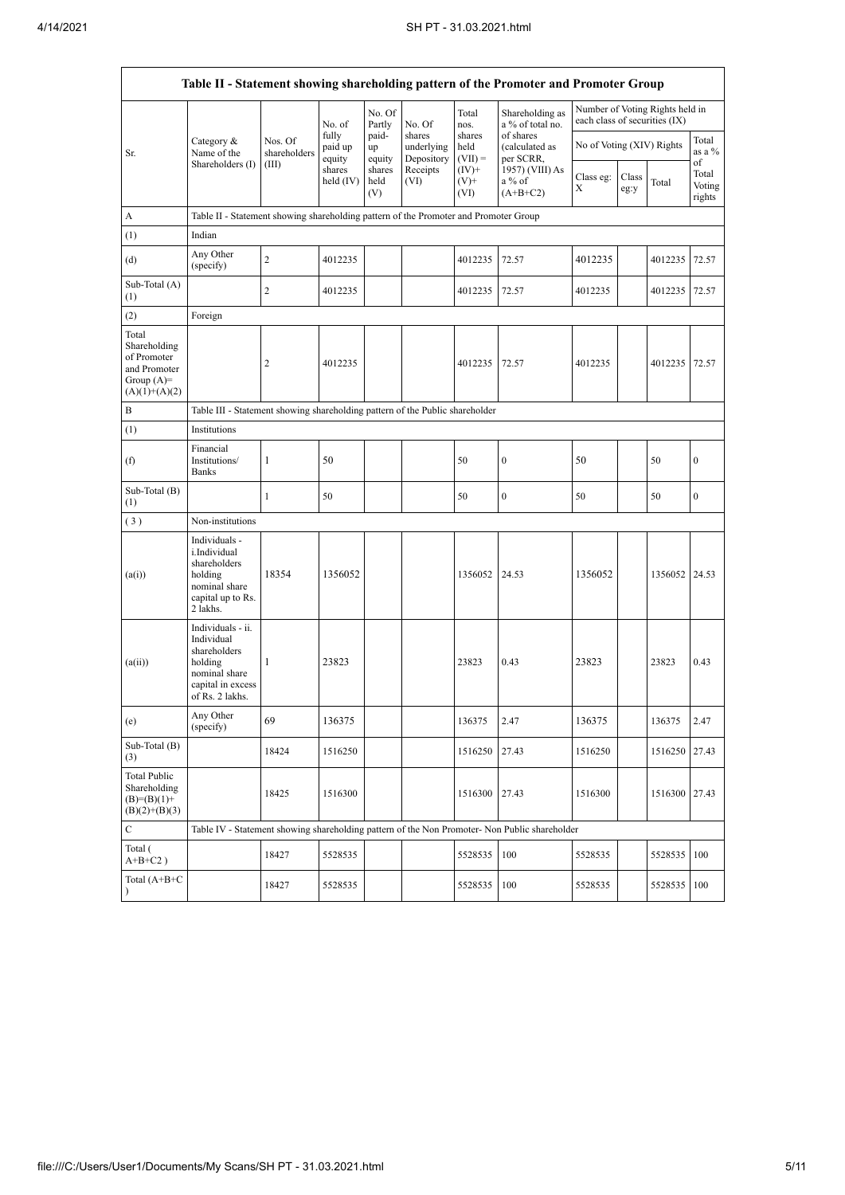|                                                                                         |                                                                                                                     |                         |                            |                       |                                    |                             | Table II - Statement showing shareholding pattern of the Promoter and Promoter Group          |                                                                  |               |               |                                 |
|-----------------------------------------------------------------------------------------|---------------------------------------------------------------------------------------------------------------------|-------------------------|----------------------------|-----------------------|------------------------------------|-----------------------------|-----------------------------------------------------------------------------------------------|------------------------------------------------------------------|---------------|---------------|---------------------------------|
|                                                                                         |                                                                                                                     |                         | No. of                     | No. Of<br>Partly      | No. Of                             | Total<br>nos.               | Shareholding as<br>a % of total no.                                                           | Number of Voting Rights held in<br>each class of securities (IX) |               |               |                                 |
| Sr.                                                                                     | Category $\&$<br>Name of the                                                                                        | Nos. Of<br>shareholders | fully<br>paid up<br>equity | paid-<br>up<br>equity | shares<br>underlying<br>Depository | shares<br>held<br>$(VII) =$ | of shares<br>(calculated as<br>per SCRR,                                                      | No of Voting (XIV) Rights                                        |               |               | Total<br>as a %                 |
|                                                                                         | Shareholders (I)                                                                                                    | (III)                   | shares<br>held (IV)        | shares<br>held<br>(V) | Receipts<br>(VI)                   | $(IV)+$<br>$(V)$ +<br>(VI)  | 1957) (VIII) As<br>a % of<br>$(A+B+C2)$                                                       | Class eg:<br>X                                                   | Class<br>eg:y | Total         | of<br>Total<br>Voting<br>rights |
| А                                                                                       | Table II - Statement showing shareholding pattern of the Promoter and Promoter Group                                |                         |                            |                       |                                    |                             |                                                                                               |                                                                  |               |               |                                 |
| (1)                                                                                     | Indian                                                                                                              |                         |                            |                       |                                    |                             |                                                                                               |                                                                  |               |               |                                 |
| (d)                                                                                     | Any Other<br>(specify)                                                                                              | $\sqrt{2}$              | 4012235                    |                       |                                    | 4012235                     | 72.57                                                                                         | 4012235                                                          |               | 4012235       | 72.57                           |
| Sub-Total (A)<br>(1)                                                                    |                                                                                                                     | $\overline{c}$          | 4012235                    |                       |                                    | 4012235                     | 72.57                                                                                         | 4012235                                                          |               | 4012235       | 72.57                           |
| (2)                                                                                     | Foreign                                                                                                             |                         |                            |                       |                                    |                             |                                                                                               |                                                                  |               |               |                                 |
| Total<br>Shareholding<br>of Promoter<br>and Promoter<br>Group $(A)=$<br>$(A)(1)+(A)(2)$ |                                                                                                                     | $\sqrt{2}$              | 4012235                    |                       |                                    | 4012235                     | 72.57                                                                                         | 4012235                                                          |               | 4012235       | 72.57                           |
| B                                                                                       | Table III - Statement showing shareholding pattern of the Public shareholder                                        |                         |                            |                       |                                    |                             |                                                                                               |                                                                  |               |               |                                 |
| (1)                                                                                     | Institutions                                                                                                        |                         |                            |                       |                                    |                             |                                                                                               |                                                                  |               |               |                                 |
| (f)                                                                                     | Financial<br>Institutions/<br><b>Banks</b>                                                                          | $\mathbf{1}$            | 50                         |                       |                                    | 50                          | $\boldsymbol{0}$                                                                              | 50                                                               |               | 50            | $\boldsymbol{0}$                |
| Sub-Total (B)<br>(1)                                                                    |                                                                                                                     | $\mathbf{1}$            | 50                         |                       |                                    | 50                          | $\boldsymbol{0}$                                                                              | 50                                                               |               | 50            | $\boldsymbol{0}$                |
| (3)                                                                                     | Non-institutions                                                                                                    |                         |                            |                       |                                    |                             |                                                                                               |                                                                  |               |               |                                 |
| (a(i))                                                                                  | Individuals -<br>i.Individual<br>shareholders<br>holding<br>nominal share<br>capital up to Rs.<br>2 lakhs.          | 18354                   | 1356052                    |                       |                                    | 1356052                     | 24.53                                                                                         | 1356052                                                          |               | 1356052 24.53 |                                 |
| (a(ii))                                                                                 | Individuals - ii.<br>Individual<br>shareholders<br>holding<br>nominal share<br>capital in excess<br>of Rs. 2 lakhs. | 1                       | 23823                      |                       |                                    | 23823                       | 0.43                                                                                          | 23823                                                            |               | 23823         | 0.43                            |
| (e)                                                                                     | Any Other<br>(specify)                                                                                              | 69                      | 136375                     |                       |                                    | 136375                      | 2.47                                                                                          | 136375                                                           |               | 136375        | 2.47                            |
| Sub-Total (B)<br>(3)                                                                    |                                                                                                                     | 18424                   | 1516250                    |                       |                                    | 1516250                     | 27.43                                                                                         | 1516250                                                          |               | 1516250       | 27.43                           |
| <b>Total Public</b><br>Shareholding<br>$(B)=(B)(1)+$<br>$(B)(2)+(B)(3)$                 |                                                                                                                     | 18425                   | 1516300                    |                       |                                    | 1516300                     | 27.43                                                                                         | 1516300                                                          |               | 1516300       | 27.43                           |
| ${\bf C}$                                                                               |                                                                                                                     |                         |                            |                       |                                    |                             | Table IV - Statement showing shareholding pattern of the Non Promoter- Non Public shareholder |                                                                  |               |               |                                 |
| Total (<br>$\mathrm{A} \text{+} \mathrm{B} \text{+} \mathrm{C2}$ )                      |                                                                                                                     | 18427                   | 5528535                    |                       |                                    | 5528535                     | 100                                                                                           | 5528535                                                          |               | 5528535       | 100                             |
| Total $(A+B+C)$                                                                         |                                                                                                                     | 18427                   | 5528535                    |                       |                                    | 5528535                     | 100                                                                                           | 5528535                                                          |               | 5528535       | 100                             |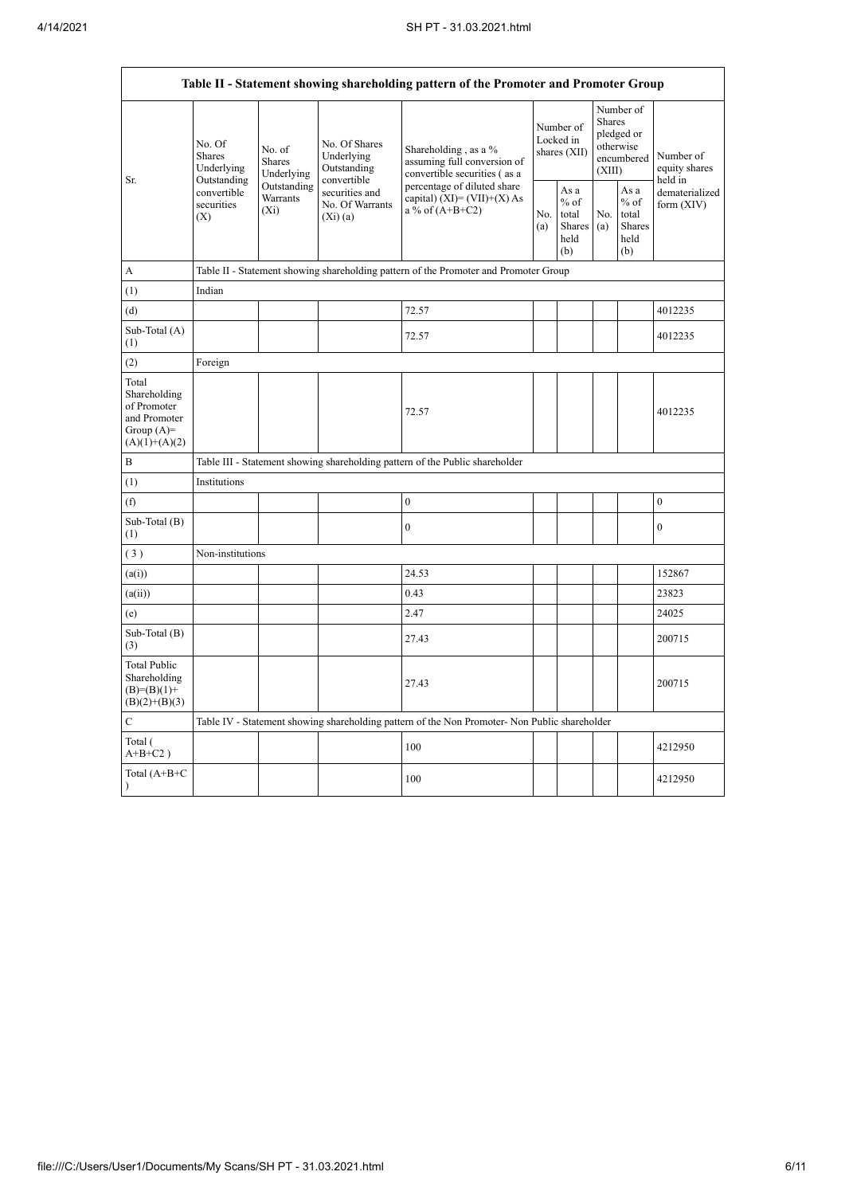$\mathbf{r}$ 

h

|                                                                                         | Table II - Statement showing shareholding pattern of the Promoter and Promoter Group |                                    |                                                                |                                                                                                                                                                           |                                        |                                                  |                                                                        |                                                  |                                       |
|-----------------------------------------------------------------------------------------|--------------------------------------------------------------------------------------|------------------------------------|----------------------------------------------------------------|---------------------------------------------------------------------------------------------------------------------------------------------------------------------------|----------------------------------------|--------------------------------------------------|------------------------------------------------------------------------|--------------------------------------------------|---------------------------------------|
| Sr.                                                                                     | No. Of<br>No. of<br><b>Shares</b><br><b>Shares</b><br>Underlying                     | Underlying                         | No. Of Shares<br>Underlying<br>Outstanding                     | Shareholding, as a %<br>assuming full conversion of<br>convertible securities (as a<br>percentage of diluted share<br>capital) $(XI) = (VII)+(X) As$<br>a % of $(A+B+C2)$ | Number of<br>Locked in<br>shares (XII) |                                                  | Number of<br>Shares<br>pledged or<br>otherwise<br>encumbered<br>(XIII) |                                                  | Number of<br>equity shares<br>held in |
|                                                                                         | Outstanding<br>convertible<br>securities<br>(X)                                      | Outstanding<br>Warrants<br>$(X_i)$ | convertible<br>securities and<br>No. Of Warrants<br>$(X_i)(a)$ |                                                                                                                                                                           | No.<br>(a)                             | As a<br>$%$ of<br>total<br>Shares<br>held<br>(b) | No.<br>(a)                                                             | As a<br>$%$ of<br>total<br>Shares<br>held<br>(b) | dematerialized<br>form $(XIV)$        |
| А                                                                                       |                                                                                      |                                    |                                                                | Table II - Statement showing shareholding pattern of the Promoter and Promoter Group                                                                                      |                                        |                                                  |                                                                        |                                                  |                                       |
| (1)                                                                                     | Indian                                                                               |                                    |                                                                |                                                                                                                                                                           |                                        |                                                  |                                                                        |                                                  |                                       |
| (d)                                                                                     |                                                                                      |                                    |                                                                | 72.57                                                                                                                                                                     |                                        |                                                  |                                                                        |                                                  | 4012235                               |
| Sub-Total (A)<br>(1)                                                                    |                                                                                      |                                    |                                                                | 72.57                                                                                                                                                                     |                                        |                                                  |                                                                        |                                                  | 4012235                               |
| (2)                                                                                     | Foreign                                                                              |                                    |                                                                |                                                                                                                                                                           |                                        |                                                  |                                                                        |                                                  |                                       |
| Total<br>Shareholding<br>of Promoter<br>and Promoter<br>Group $(A)=$<br>$(A)(1)+(A)(2)$ |                                                                                      |                                    |                                                                | 72.57                                                                                                                                                                     |                                        |                                                  |                                                                        |                                                  | 4012235                               |
| B                                                                                       |                                                                                      |                                    |                                                                | Table III - Statement showing shareholding pattern of the Public shareholder                                                                                              |                                        |                                                  |                                                                        |                                                  |                                       |
| (1)                                                                                     | Institutions                                                                         |                                    |                                                                |                                                                                                                                                                           |                                        |                                                  |                                                                        |                                                  |                                       |
| (f)                                                                                     |                                                                                      |                                    |                                                                | $\boldsymbol{0}$                                                                                                                                                          |                                        |                                                  |                                                                        |                                                  | $\boldsymbol{0}$                      |
| Sub-Total (B)<br>(1)                                                                    |                                                                                      |                                    |                                                                | $\mathbf{0}$                                                                                                                                                              |                                        |                                                  |                                                                        |                                                  | $\theta$                              |
| (3)                                                                                     | Non-institutions                                                                     |                                    |                                                                |                                                                                                                                                                           |                                        |                                                  |                                                                        |                                                  |                                       |
| (a(i))                                                                                  |                                                                                      |                                    |                                                                | 24.53                                                                                                                                                                     |                                        |                                                  |                                                                        |                                                  | 152867                                |
| (a(ii))                                                                                 |                                                                                      |                                    |                                                                | 0.43                                                                                                                                                                      |                                        |                                                  |                                                                        |                                                  | 23823                                 |
| (e)                                                                                     |                                                                                      |                                    |                                                                | 2.47                                                                                                                                                                      |                                        |                                                  |                                                                        |                                                  | 24025                                 |
| Sub-Total (B)<br>(3)                                                                    |                                                                                      |                                    |                                                                | 27.43                                                                                                                                                                     |                                        |                                                  |                                                                        |                                                  | 200715                                |
| <b>Total Public</b><br>Shareholding<br>$(B)= (B)(1) +$<br>$(B)(2)+(B)(3)$               |                                                                                      |                                    |                                                                | 27.43                                                                                                                                                                     |                                        |                                                  |                                                                        |                                                  | 200715                                |
| $\mathsf{C}$                                                                            |                                                                                      |                                    |                                                                | Table IV - Statement showing shareholding pattern of the Non Promoter- Non Public shareholder                                                                             |                                        |                                                  |                                                                        |                                                  |                                       |
| Total (<br>$A+B+C2$ )                                                                   |                                                                                      |                                    |                                                                | 100                                                                                                                                                                       |                                        |                                                  |                                                                        |                                                  | 4212950                               |
| Total (A+B+C<br>$\mathcal{E}$                                                           |                                                                                      |                                    |                                                                | 100                                                                                                                                                                       |                                        |                                                  |                                                                        |                                                  | 4212950                               |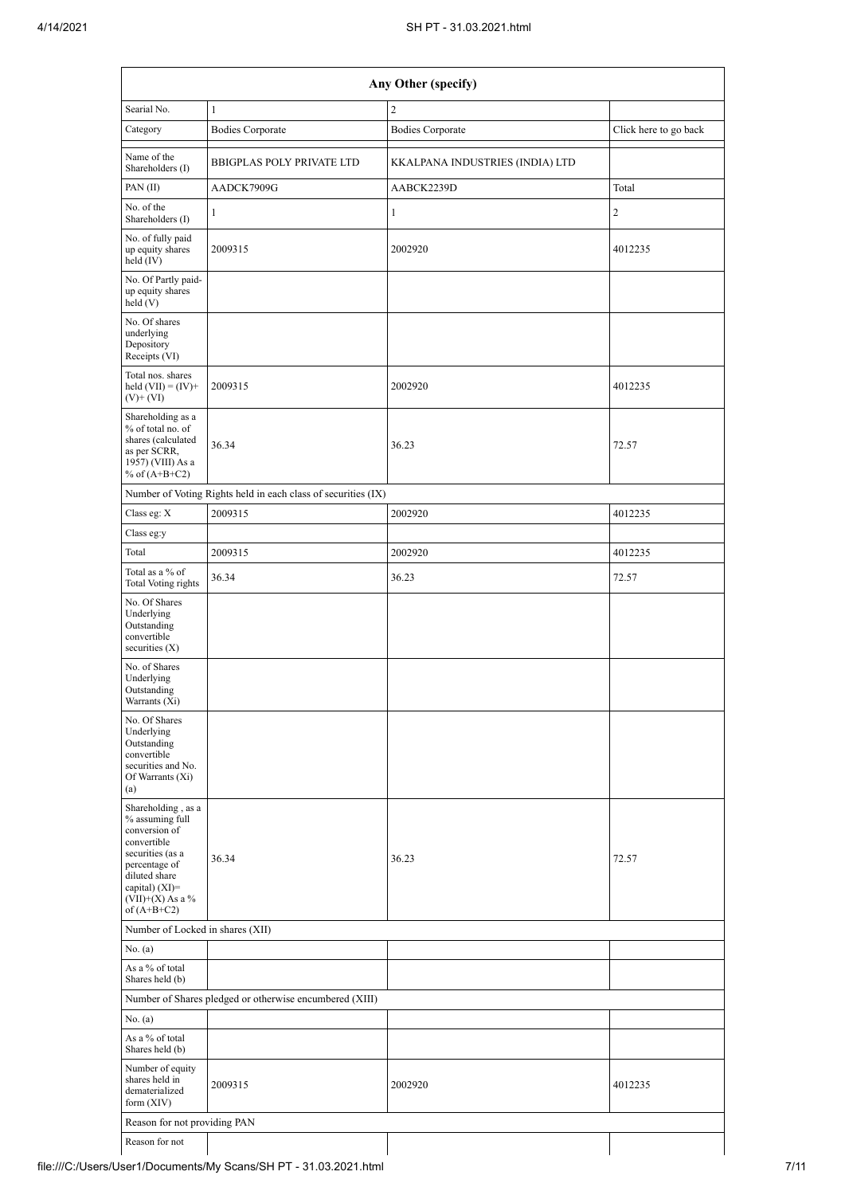| Any Other (specify)                                                                                                                                                                  |                                                                     |                         |                       |  |  |
|--------------------------------------------------------------------------------------------------------------------------------------------------------------------------------------|---------------------------------------------------------------------|-------------------------|-----------------------|--|--|
| Searial No.                                                                                                                                                                          | $\mathbf{1}$                                                        | $\overline{c}$          |                       |  |  |
| Category                                                                                                                                                                             | <b>Bodies Corporate</b>                                             | <b>Bodies Corporate</b> | Click here to go back |  |  |
| Name of the<br>Shareholders (I)                                                                                                                                                      | <b>BBIGPLAS POLY PRIVATE LTD</b><br>KKALPANA INDUSTRIES (INDIA) LTD |                         |                       |  |  |
| PAN(II)                                                                                                                                                                              | AADCK7909G                                                          | AABCK2239D              | Total                 |  |  |
| No. of the<br>Shareholders (I)                                                                                                                                                       | $\mathbf{1}$                                                        | $\mathbf{1}$            | $\overline{c}$        |  |  |
| No. of fully paid<br>up equity shares<br>held (IV)                                                                                                                                   | 2009315                                                             | 2002920                 | 4012235               |  |  |
| No. Of Partly paid-<br>up equity shares<br>held (V)                                                                                                                                  |                                                                     |                         |                       |  |  |
| No. Of shares<br>underlying<br>Depository<br>Receipts (VI)                                                                                                                           |                                                                     |                         |                       |  |  |
| Total nos. shares<br>held $(VII) = (IV)+$<br>$(V)$ + $(VI)$                                                                                                                          | 2009315                                                             | 2002920                 | 4012235               |  |  |
| Shareholding as a<br>% of total no. of<br>shares (calculated<br>as per SCRR,<br>1957) (VIII) As a<br>% of $(A+B+C2)$                                                                 | 36.34                                                               | 36.23                   | 72.57                 |  |  |
|                                                                                                                                                                                      | Number of Voting Rights held in each class of securities (IX)       |                         |                       |  |  |
| Class eg: X                                                                                                                                                                          | 2009315                                                             | 2002920                 | 4012235               |  |  |
| Class eg:y                                                                                                                                                                           |                                                                     |                         |                       |  |  |
| Total                                                                                                                                                                                | 2009315                                                             | 2002920                 | 4012235               |  |  |
| Total as a % of<br><b>Total Voting rights</b>                                                                                                                                        | 36.34                                                               | 36.23                   | 72.57                 |  |  |
| No. Of Shares<br>Underlying<br>Outstanding<br>convertible<br>securities $(X)$                                                                                                        |                                                                     |                         |                       |  |  |
| No. of Shares<br>Underlying<br>Outstanding<br>Warrants (Xi)                                                                                                                          |                                                                     |                         |                       |  |  |
| No. Of Shares<br>Underlying<br>Outstanding<br>convertible<br>securities and No.<br>Of Warrants (Xi)<br>(a)                                                                           |                                                                     |                         |                       |  |  |
| Shareholding, as a<br>% assuming full<br>conversion of<br>convertible<br>securities (as a<br>percentage of<br>diluted share<br>capital) (XI)=<br>$(VII)+(X)$ As a %<br>of $(A+B+C2)$ | 36.34                                                               | 36.23                   | 72.57                 |  |  |
| Number of Locked in shares (XII)                                                                                                                                                     |                                                                     |                         |                       |  |  |
| No. (a)                                                                                                                                                                              |                                                                     |                         |                       |  |  |
| As a % of total<br>Shares held (b)                                                                                                                                                   |                                                                     |                         |                       |  |  |
|                                                                                                                                                                                      | Number of Shares pledged or otherwise encumbered (XIII)             |                         |                       |  |  |
| No. (a)                                                                                                                                                                              |                                                                     |                         |                       |  |  |
| As a % of total<br>Shares held (b)                                                                                                                                                   |                                                                     |                         |                       |  |  |
| Number of equity<br>shares held in<br>dematerialized<br>form $(XIV)$                                                                                                                 | 2009315                                                             | 2002920                 | 4012235               |  |  |
| Reason for not providing PAN                                                                                                                                                         |                                                                     |                         |                       |  |  |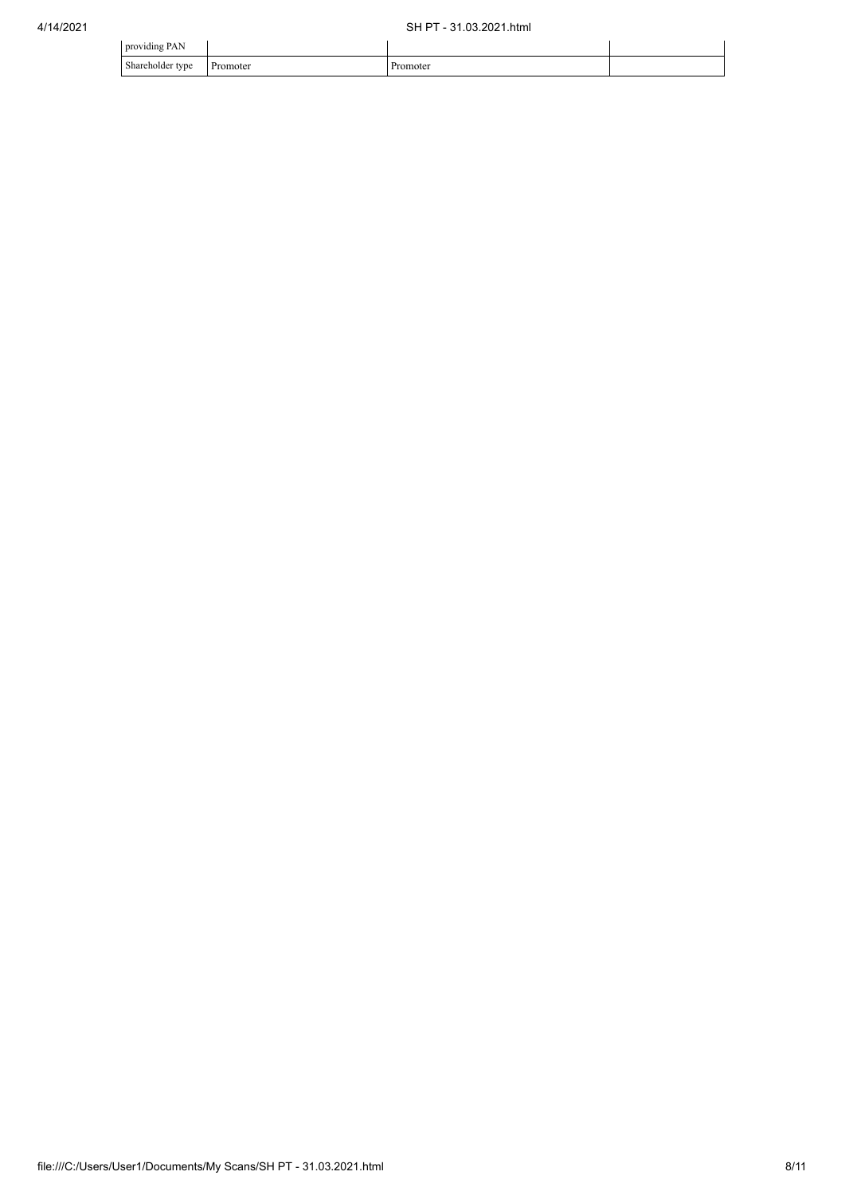| providing PAN    |          |  |
|------------------|----------|--|
| Shareholder type | Promoter |  |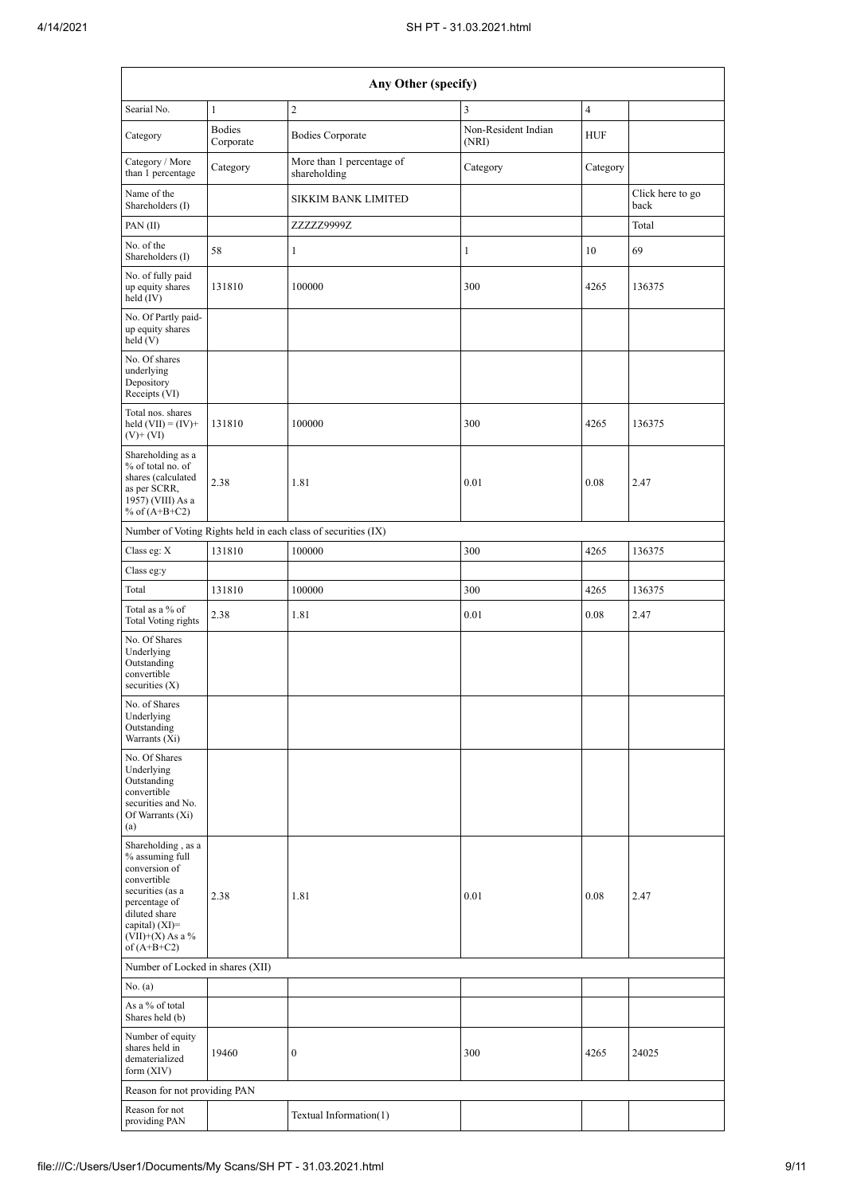|                                                                                                                                                                                                       | Any Other (specify)        |                                                               |                              |                |                          |  |  |
|-------------------------------------------------------------------------------------------------------------------------------------------------------------------------------------------------------|----------------------------|---------------------------------------------------------------|------------------------------|----------------|--------------------------|--|--|
| Searial No.                                                                                                                                                                                           | $\mathbf{1}$               | $\overline{c}$                                                | 3                            | $\overline{4}$ |                          |  |  |
| Category                                                                                                                                                                                              | <b>Bodies</b><br>Corporate | <b>Bodies Corporate</b>                                       | Non-Resident Indian<br>(NRI) | <b>HUF</b>     |                          |  |  |
| Category / More<br>than 1 percentage                                                                                                                                                                  | Category                   | More than 1 percentage of<br>shareholding                     | Category                     | Category       |                          |  |  |
| Name of the<br>Shareholders (I)                                                                                                                                                                       |                            | <b>SIKKIM BANK LIMITED</b>                                    |                              |                | Click here to go<br>back |  |  |
| PAN(II)                                                                                                                                                                                               |                            | ZZZZZ9999Z                                                    |                              |                | Total                    |  |  |
| No. of the<br>Shareholders (I)                                                                                                                                                                        | 58                         | $\mathbf{1}$                                                  | $\mathbf{1}$                 | 10             | 69                       |  |  |
| No. of fully paid<br>up equity shares<br>held (IV)                                                                                                                                                    | 131810                     | 100000                                                        | 300                          | 4265           | 136375                   |  |  |
| No. Of Partly paid-<br>up equity shares<br>held(V)                                                                                                                                                    |                            |                                                               |                              |                |                          |  |  |
| No. Of shares<br>underlying<br>Depository<br>Receipts (VI)                                                                                                                                            |                            |                                                               |                              |                |                          |  |  |
| Total nos. shares<br>held $(VII) = (IV) +$<br>$(V)$ + $(VI)$                                                                                                                                          | 131810                     | 100000                                                        | 300                          | 4265           | 136375                   |  |  |
| Shareholding as a<br>% of total no. of<br>shares (calculated<br>as per SCRR,<br>1957) (VIII) As a<br>% of $(A+B+C2)$                                                                                  | 2.38                       | 1.81                                                          | 0.01                         | 0.08           | 2.47                     |  |  |
|                                                                                                                                                                                                       |                            | Number of Voting Rights held in each class of securities (IX) |                              |                |                          |  |  |
| Class eg: X                                                                                                                                                                                           | 131810                     | 100000                                                        | 300                          | 4265           | 136375                   |  |  |
| Class eg:y                                                                                                                                                                                            |                            |                                                               |                              |                |                          |  |  |
| Total                                                                                                                                                                                                 | 131810                     | 100000                                                        | 300                          | 4265           | 136375                   |  |  |
| Total as a % of<br>Total Voting rights                                                                                                                                                                | 2.38                       | 1.81                                                          | 0.01                         | 0.08           | 2.47                     |  |  |
| No. Of Shares<br>Underlying<br>Outstanding<br>convertible<br>securities $(X)$                                                                                                                         |                            |                                                               |                              |                |                          |  |  |
| No. of Shares<br>Underlying<br>Outstanding<br>Warrants (Xi)                                                                                                                                           |                            |                                                               |                              |                |                          |  |  |
| No. Of Shares<br>Underlying<br>Outstanding<br>convertible<br>securities and No.<br>Of Warrants (Xi)<br>(a)                                                                                            |                            |                                                               |                              |                |                          |  |  |
| Shareholding, as a<br>% assuming full<br>conversion of<br>convertible<br>securities (as a<br>percentage of<br>diluted share<br>capital) $(XI)=$<br>$(\rm{VII}){+}(\rm{X})$ As a $\%$<br>of $(A+B+C2)$ | 2.38                       | 1.81                                                          | 0.01                         | 0.08           | 2.47                     |  |  |
| Number of Locked in shares (XII)                                                                                                                                                                      |                            |                                                               |                              |                |                          |  |  |
| No. (a)                                                                                                                                                                                               |                            |                                                               |                              |                |                          |  |  |
| As a % of total<br>Shares held (b)                                                                                                                                                                    |                            |                                                               |                              |                |                          |  |  |
| Number of equity<br>shares held in<br>dematerialized<br>form $(XIV)$                                                                                                                                  | 19460                      | $\boldsymbol{0}$                                              | 300                          | 4265           | 24025                    |  |  |
| Reason for not providing PAN                                                                                                                                                                          |                            |                                                               |                              |                |                          |  |  |
| Reason for not<br>providing PAN                                                                                                                                                                       |                            | Textual Information(1)                                        |                              |                |                          |  |  |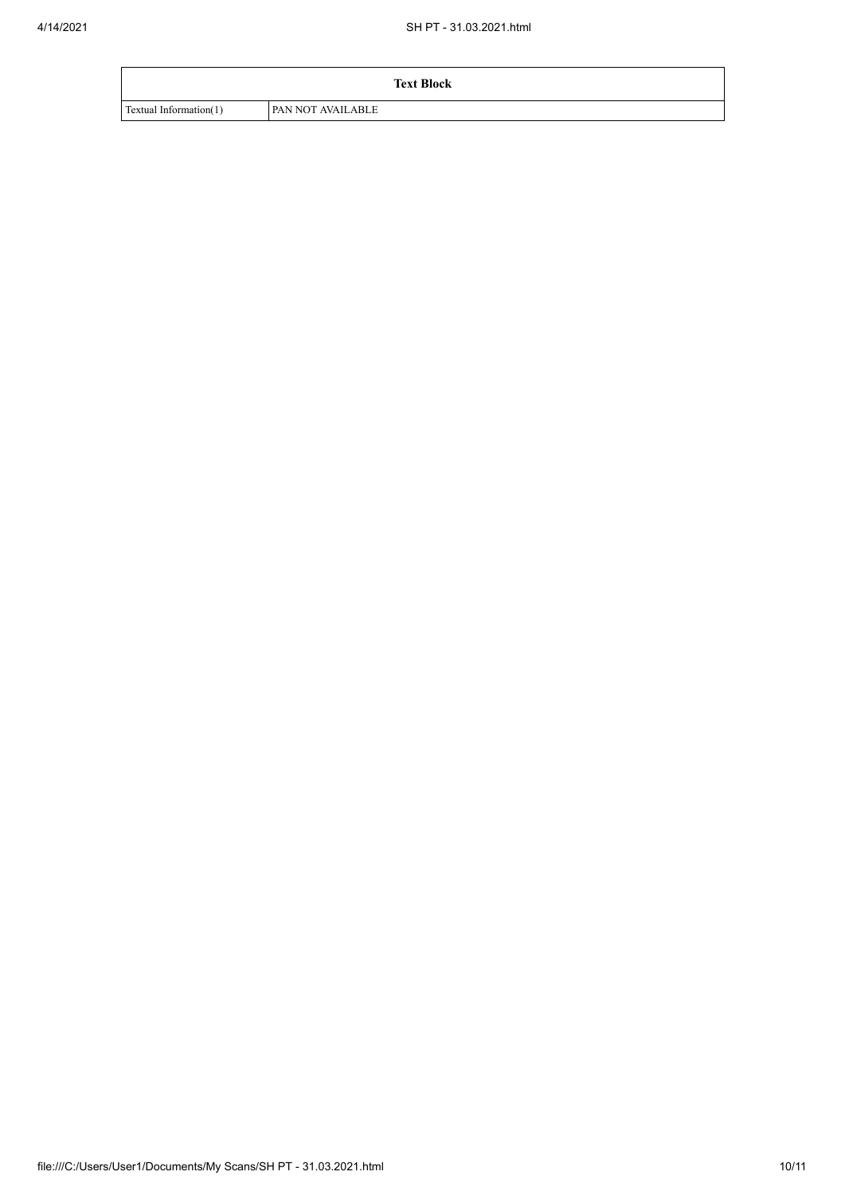|                        | <b>Text Block</b>        |
|------------------------|--------------------------|
| Textual Information(1) | <b>PAN NOT AVAILABLE</b> |